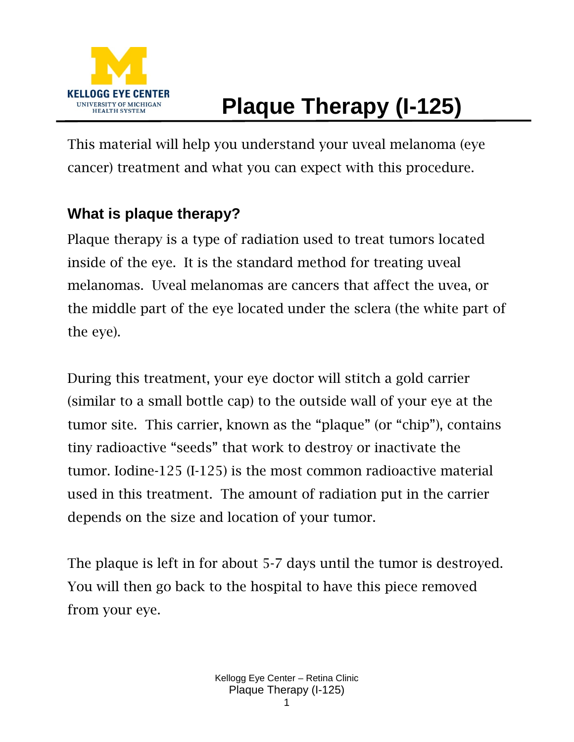

# **Plaque Therapy (I-125)**

This material will help you understand your uveal melanoma (eye cancer) treatment and what you can expect with this procedure.

#### **What is plaque therapy?**

Plaque therapy is a type of radiation used to treat tumors located inside of the eye. It is the standard method for treating uveal melanomas. Uveal melanomas are cancers that affect the uvea, or the middle part of the eye located under the sclera (the white part of the eye).

During this treatment, your eye doctor will stitch a gold carrier (similar to a small bottle cap) to the outside wall of your eye at the tumor site. This carrier, known as the "plaque" (or "chip"), contains tiny radioactive "seeds" that work to destroy or inactivate the tumor. Iodine-125 (I-125) is the most common radioactive material used in this treatment. The amount of radiation put in the carrier depends on the size and location of your tumor.

The plaque is left in for about 5-7 days until the tumor is destroyed. You will then go back to the hospital to have this piece removed from your eye.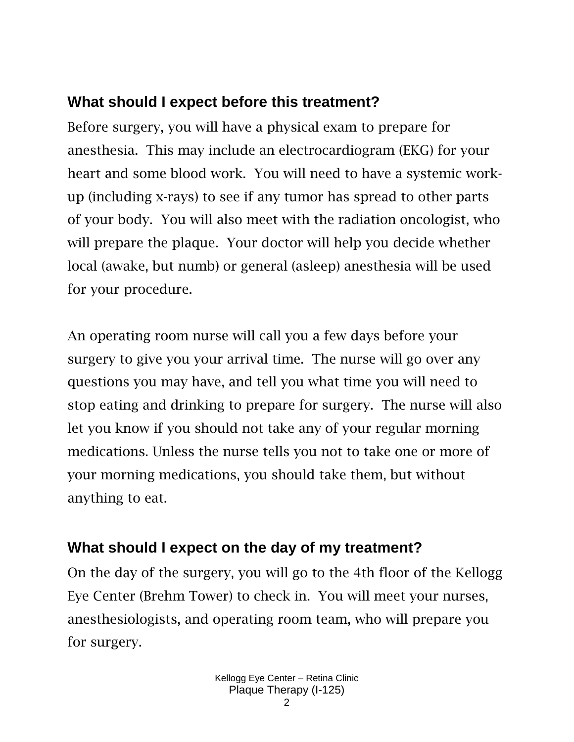## **What should I expect before this treatment?**

Before surgery, you will have a physical exam to prepare for anesthesia. This may include an electrocardiogram (EKG) for your heart and some blood work. You will need to have a systemic workup (including x-rays) to see if any tumor has spread to other parts of your body. You will also meet with the radiation oncologist, who will prepare the plaque. Your doctor will help you decide whether local (awake, but numb) or general (asleep) anesthesia will be used for your procedure.

An operating room nurse will call you a few days before your surgery to give you your arrival time. The nurse will go over any questions you may have, and tell you what time you will need to stop eating and drinking to prepare for surgery. The nurse will also let you know if you should not take any of your regular morning medications. Unless the nurse tells you not to take one or more of your morning medications, you should take them, but without anything to eat.

# **What should I expect on the day of my treatment?**

On the day of the surgery, you will go to the 4th floor of the Kellogg Eye Center (Brehm Tower) to check in. You will meet your nurses, anesthesiologists, and operating room team, who will prepare you for surgery.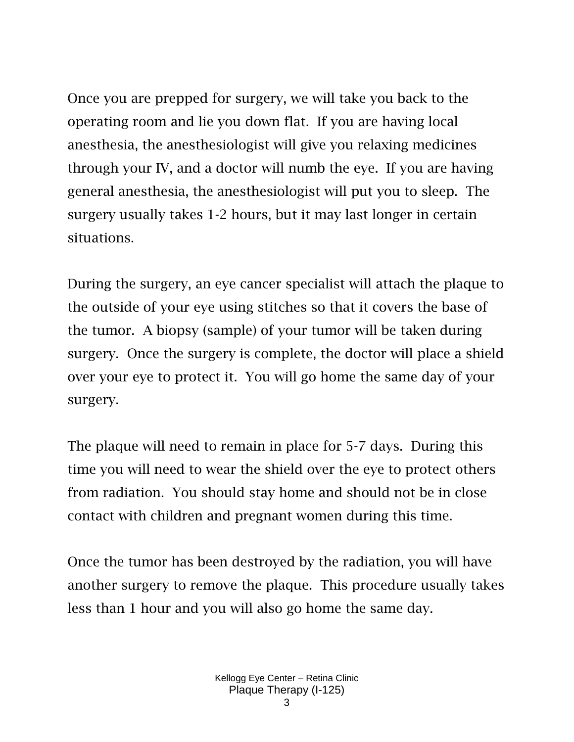Once you are prepped for surgery, we will take you back to the operating room and lie you down flat. If you are having local anesthesia, the anesthesiologist will give you relaxing medicines through your IV, and a doctor will numb the eye. If you are having general anesthesia, the anesthesiologist will put you to sleep. The surgery usually takes 1-2 hours, but it may last longer in certain situations.

During the surgery, an eye cancer specialist will attach the plaque to the outside of your eye using stitches so that it covers the base of the tumor. A biopsy (sample) of your tumor will be taken during surgery. Once the surgery is complete, the doctor will place a shield over your eye to protect it. You will go home the same day of your surgery.

The plaque will need to remain in place for 5-7 days. During this time you will need to wear the shield over the eye to protect others from radiation. You should stay home and should not be in close contact with children and pregnant women during this time.

Once the tumor has been destroyed by the radiation, you will have another surgery to remove the plaque. This procedure usually takes less than 1 hour and you will also go home the same day.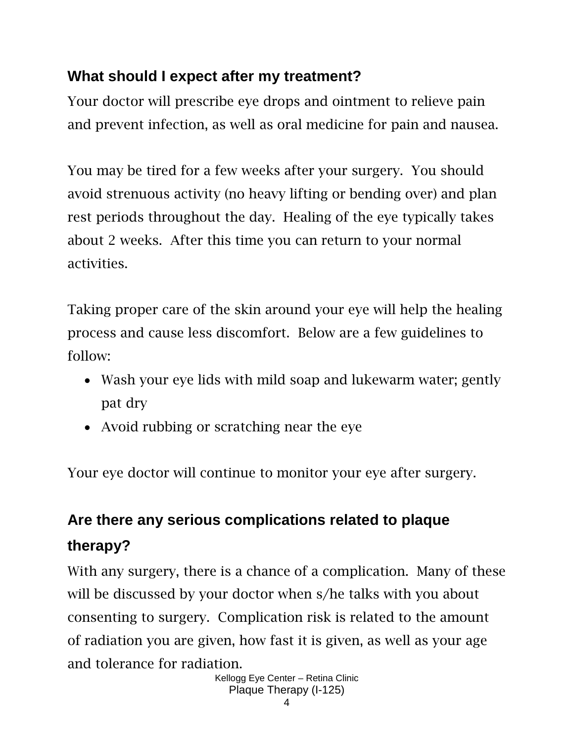## **What should I expect after my treatment?**

Your doctor will prescribe eye drops and ointment to relieve pain and prevent infection, as well as oral medicine for pain and nausea.

You may be tired for a few weeks after your surgery. You should avoid strenuous activity (no heavy lifting or bending over) and plan rest periods throughout the day. Healing of the eye typically takes about 2 weeks. After this time you can return to your normal activities.

Taking proper care of the skin around your eye will help the healing process and cause less discomfort. Below are a few guidelines to follow:

- Wash your eye lids with mild soap and lukewarm water; gently pat dry
- Avoid rubbing or scratching near the eye

Your eye doctor will continue to monitor your eye after surgery.

# **Are there any serious complications related to plaque therapy?**

With any surgery, there is a chance of a complication. Many of these will be discussed by your doctor when s/he talks with you about consenting to surgery. Complication risk is related to the amount of radiation you are given, how fast it is given, as well as your age and tolerance for radiation.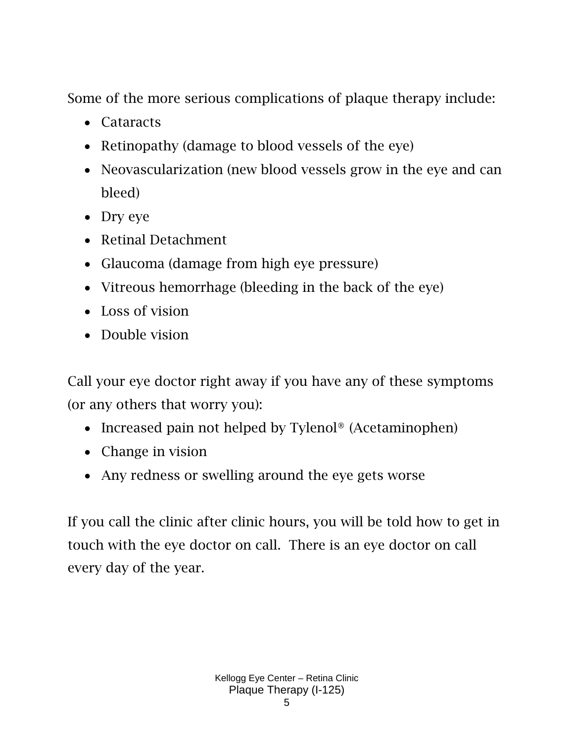Some of the more serious complications of plaque therapy include:

- Cataracts
- Retinopathy (damage to blood vessels of the eye)
- Neovascularization (new blood vessels grow in the eye and can bleed)
- Dry eye
- Retinal Detachment
- Glaucoma (damage from high eye pressure)
- Vitreous hemorrhage (bleeding in the back of the eye)
- Loss of vision
- Double vision

Call your eye doctor right away if you have any of these symptoms (or any others that worry you):

- Increased pain not helped by Tylenol<sup>®</sup> (Acetaminophen)
- Change in vision
- Any redness or swelling around the eye gets worse

If you call the clinic after clinic hours, you will be told how to get in touch with the eye doctor on call. There is an eye doctor on call every day of the year.